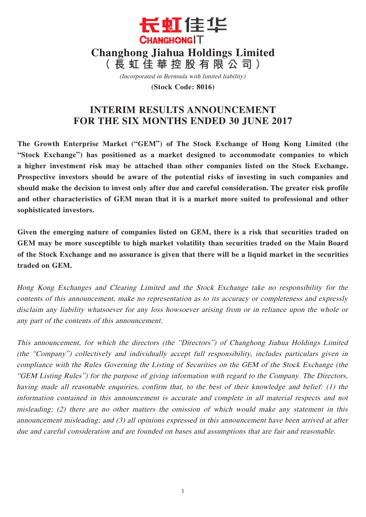

(Incorporated in Bermuda with limited liability)

**(Stock Code: 8016)**

# **INTERIM RESULTS ANNOUNCEMENT FOR THE SIX MONTHS ENDED 30 JUNE 2017**

**The Growth Enterprise Market ("GEM") of The Stock Exchange of Hong Kong Limited (the "Stock Exchange") has positioned as a market designed to accommodate companies to which a higher investment risk may be attached than other companies listed on the Stock Exchange. Prospective investors should be aware of the potential risks of investing in such companies and should make the decision to invest only after due and careful consideration. The greater risk profile and other characteristics of GEM mean that it is a market more suited to professional and other sophisticated investors.**

**Given the emerging nature of companies listed on GEM, there is a risk that securities traded on GEM may be more susceptible to high market volatility than securities traded on the Main Board of the Stock Exchange and no assurance is given that there will be a liquid market in the securities traded on GEM.**

Hong Kong Exchanges and Clearing Limited and the Stock Exchange take no responsibility for the contents of this announcement, make no representation as to its accuracy or completeness and expressly disclaim any liability whatsoever for any loss howsoever arising from or in reliance upon the whole or any part of the contents of this announcement.

This announcement, for which the directors (the "Directors") of Changhong Jiahua Holdings Limited (the "Company") collectively and individually accept full responsibility, includes particulars given in compliance with the Rules Governing the Listing of Securities on the GEM of the Stock Exchange (the "GEM Listing Rules") for the purpose of giving information with regard to the Company. The Directors, having made all reasonable enquiries, confirm that, to the best of their knowledge and belief: (1) the information contained in this announcement is accurate and complete in all material respects and not misleading; (2) there are no other matters the omission of which would make any statement in this announcement misleading; and (3) all opinions expressed in this announcement have been arrived at after due and careful consideration and are founded on bases and assumptions that are fair and reasonable.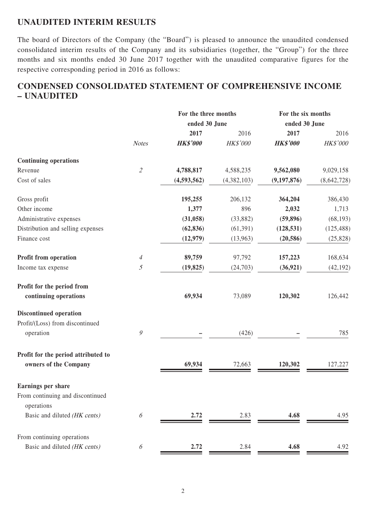### **UNAUDITED INTERIM RESULTS**

The board of Directors of the Company (the "Board") is pleased to announce the unaudited condensed consolidated interim results of the Company and its subsidiaries (together, the "Group") for the three months and six months ended 30 June 2017 together with the unaudited comparative figures for the respective corresponding period in 2016 as follows:

# **CONDENSED CONSOLIDATED STATEMENT OF COMPREHENSIVE INCOME – UNAUDITED**

|                                                |                                                           | For the three months |                 | For the six months |                 |
|------------------------------------------------|-----------------------------------------------------------|----------------------|-----------------|--------------------|-----------------|
|                                                |                                                           | ended 30 June        |                 | ended 30 June      |                 |
|                                                |                                                           | 2017                 | 2016            | 2017               | 2016            |
|                                                | <b>Notes</b>                                              | <b>HK\$'000</b>      | <b>HK\$'000</b> | <b>HK\$'000</b>    | <b>HK\$'000</b> |
| <b>Continuing operations</b>                   |                                                           |                      |                 |                    |                 |
| Revenue                                        | $\mathcal{Z}$                                             | 4,788,817            | 4,588,235       | 9,562,080          | 9,029,158       |
| Cost of sales                                  |                                                           | (4,593,562)          | (4,382,103)     | (9, 197, 876)      | (8,642,728)     |
| Gross profit                                   |                                                           | 195,255              | 206,132         | 364,204            | 386,430         |
| Other income                                   |                                                           | 1,377                | 896             | 2,032              | 1,713           |
| Administrative expenses                        |                                                           | (31, 058)            | (33,882)        | (59, 896)          | (68, 193)       |
| Distribution and selling expenses              |                                                           | (62, 836)            | (61, 391)       | (128, 531)         | (125, 488)      |
| Finance cost                                   |                                                           | (12, 979)            | (13,963)        | (20, 586)          | (25, 828)       |
| Profit from operation                          | $\overline{4}$                                            | 89,759               | 97,792          | 157,223            | 168,634         |
| Income tax expense                             | $\mathfrak{I}$                                            | (19, 825)            | (24,703)        | (36, 921)          | (42, 192)       |
| Profit for the period from                     |                                                           |                      |                 |                    |                 |
| continuing operations                          |                                                           | 69,934               | 73,089          | 120,302            | 126,442         |
| <b>Discontinued operation</b>                  |                                                           |                      |                 |                    |                 |
| Profit/(Loss) from discontinued                |                                                           |                      |                 |                    |                 |
| operation                                      | $\mathcal{G}% _{M_{1},M_{2}}^{\alpha,\beta}(\mathcal{A})$ |                      | (426)           |                    | 785             |
| Profit for the period attributed to            |                                                           |                      |                 |                    |                 |
| owners of the Company                          |                                                           | 69,934               | 72,663          | 120,302            | 127,227         |
| Earnings per share                             |                                                           |                      |                 |                    |                 |
| From continuing and discontinued<br>operations |                                                           |                      |                 |                    |                 |
| Basic and diluted (HK cents)                   | $\boldsymbol{\delta}$                                     | 2.72                 | 2.83            | 4.68               | 4.95            |
| From continuing operations                     |                                                           |                      |                 |                    |                 |
| Basic and diluted (HK cents)                   | 6                                                         | 2.72                 | 2.84            | 4.68               | 4.92            |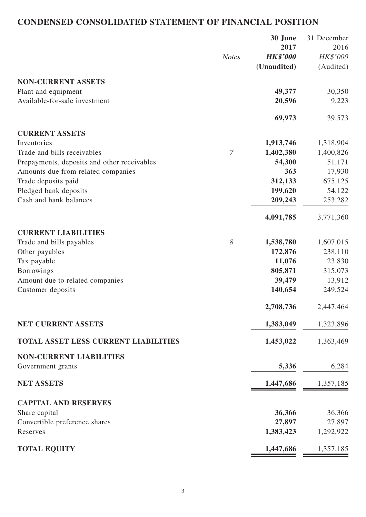# **CONDENSED CONSOLIDATED STATEMENT OF FINANCIAL POSITION**

|                                             |               | 30 June         | 31 December |
|---------------------------------------------|---------------|-----------------|-------------|
|                                             |               | 2017            | 2016        |
|                                             | <b>Notes</b>  | <b>HK\$'000</b> | HK\$'000    |
|                                             |               | (Unaudited)     | (Audited)   |
| <b>NON-CURRENT ASSETS</b>                   |               |                 |             |
| Plant and equipment                         |               | 49,377          | 30,350      |
| Available-for-sale investment               |               | 20,596          | 9,223       |
|                                             |               | 69,973          | 39,573      |
| <b>CURRENT ASSETS</b>                       |               |                 |             |
| Inventories                                 |               | 1,913,746       | 1,318,904   |
| Trade and bills receivables                 | $\mathcal{I}$ | 1,402,380       | 1,400,826   |
| Prepayments, deposits and other receivables |               | 54,300          | 51,171      |
| Amounts due from related companies          |               | 363             | 17,930      |
| Trade deposits paid                         |               | 312,133         | 675,125     |
| Pledged bank deposits                       |               | 199,620         | 54,122      |
| Cash and bank balances                      |               | 209,243         | 253,282     |
|                                             |               | 4,091,785       | 3,771,360   |
| <b>CURRENT LIABILITIES</b>                  |               |                 |             |
| Trade and bills payables                    | 8             | 1,538,780       | 1,607,015   |
| Other payables                              |               | 172,876         | 238,110     |
| Tax payable                                 |               | 11,076          | 23,830      |
| <b>Borrowings</b>                           |               | 805,871         | 315,073     |
| Amount due to related companies             |               | 39,479          | 13,912      |
| Customer deposits                           |               | 140,654         | 249,524     |
|                                             |               | 2,708,736       | 2,447,464   |
| <b>NET CURRENT ASSETS</b>                   |               | 1,383,049       | 1,323,896   |
| <b>TOTAL ASSET LESS CURRENT LIABILITIES</b> |               | 1,453,022       | 1,363,469   |
| <b>NON-CURRENT LIABILITIES</b>              |               |                 |             |
| Government grants                           |               | 5,336           | 6,284       |
| <b>NET ASSETS</b>                           |               | 1,447,686       | 1,357,185   |
| <b>CAPITAL AND RESERVES</b>                 |               |                 |             |
| Share capital                               |               | 36,366          | 36,366      |
| Convertible preference shares               |               | 27,897          | 27,897      |
| Reserves                                    |               | 1,383,423       | 1,292,922   |
| <b>TOTAL EQUITY</b>                         |               | 1,447,686       | 1,357,185   |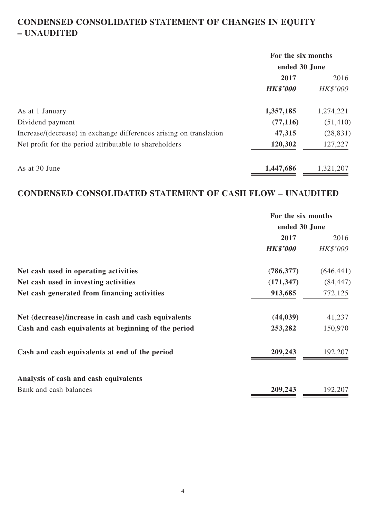# **CONDENSED CONSOLIDATED STATEMENT OF CHANGES IN EQUITY – UNAUDITED**

|                                                                    | For the six months |                 |  |
|--------------------------------------------------------------------|--------------------|-----------------|--|
|                                                                    | ended 30 June      |                 |  |
|                                                                    | 2017               | 2016            |  |
|                                                                    | <b>HK\$'000</b>    | <b>HK\$'000</b> |  |
| As at 1 January                                                    | 1,357,185          | 1,274,221       |  |
| Dividend payment                                                   | (77, 116)          | (51, 410)       |  |
| Increase/(decrease) in exchange differences arising on translation | 47,315             | (28, 831)       |  |
| Net profit for the period attributable to shareholders             | 120,302            | 127,227         |  |
| As at 30 June                                                      | 1,447,686          | 1,321,207       |  |

## **CONDENSED CONSOLIDATED STATEMENT OF CASH FLOW – UNAUDITED**

|                                                      | For the six months<br>ended 30 June |                 |  |
|------------------------------------------------------|-------------------------------------|-----------------|--|
|                                                      |                                     |                 |  |
|                                                      | 2017                                | 2016            |  |
|                                                      | <b>HK\$'000</b>                     | <b>HK\$'000</b> |  |
| Net cash used in operating activities                | (786, 377)                          | (646, 441)      |  |
| Net cash used in investing activities                | (171, 347)                          | (84, 447)       |  |
| Net cash generated from financing activities         | 913,685                             | 772,125         |  |
| Net (decrease)/increase in cash and cash equivalents | (44, 039)                           | 41,237          |  |
| Cash and cash equivalents at beginning of the period | 253,282                             | 150,970         |  |
| Cash and cash equivalents at end of the period       | 209,243                             | 192,207         |  |
| Analysis of cash and cash equivalents                |                                     |                 |  |
| Bank and cash balances                               | 209,243                             | 192,207         |  |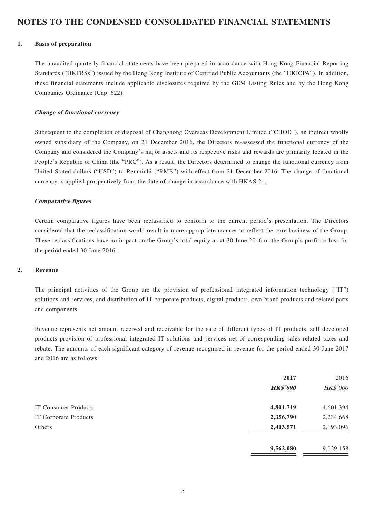### **NOTES TO THE CONDENSED CONSOLIDATED FINANCIAL STATEMENTS**

#### **1. Basis of preparation**

The unaudited quarterly financial statements have been prepared in accordance with Hong Kong Financial Reporting Standards ("HKFRSs") issued by the Hong Kong Institute of Certified Public Accountants (the "HKICPA"). In addition, these financial statements include applicable disclosures required by the GEM Listing Rules and by the Hong Kong Companies Ordinance (Cap. 622).

#### **Change of functional currency**

Subsequent to the completion of disposal of Changhong Overseas Development Limited ("CHOD"), an indirect wholly owned subsidiary of the Company, on 21 December 2016, the Directors re-assessed the functional currency of the Company and considered the Company's major assets and its respective risks and rewards are primarily located in the People's Republic of China (the "PRC"). As a result, the Directors determined to change the functional currency from United Stated dollars ("USD") to Renminbi ("RMB") with effect from 21 December 2016. The change of functional currency is applied prospectively from the date of change in accordance with HKAS 21.

#### **Comparative figures**

Certain comparative figures have been reclassified to conform to the current period's presentation. The Directors considered that the reclassification would result in more appropriate manner to reflect the core business of the Group. These reclassifications have no impact on the Group's total equity as at 30 June 2016 or the Group's profit or loss for the period ended 30 June 2016.

#### **2. Revenue**

The principal activities of the Group are the provision of professional integrated information technology ("IT") solutions and services, and distribution of IT corporate products, digital products, own brand products and related parts and components.

Revenue represents net amount received and receivable for the sale of different types of IT products, self developed products provision of professional integrated IT solutions and services net of corresponding sales related taxes and rebate. The amounts of each significant category of revenue recognised in revenue for the period ended 30 June 2017 and 2016 are as follows:

|                       | 2017<br><b>HK\$'000</b> | 2016<br>HK\$'000 |
|-----------------------|-------------------------|------------------|
| IT Consumer Products  | 4,801,719               | 4,601,394        |
| IT Corporate Products | 2,356,790               | 2,234,668        |
| Others                | 2,403,571               | 2,193,096        |
|                       | 9,562,080               | 9,029,158        |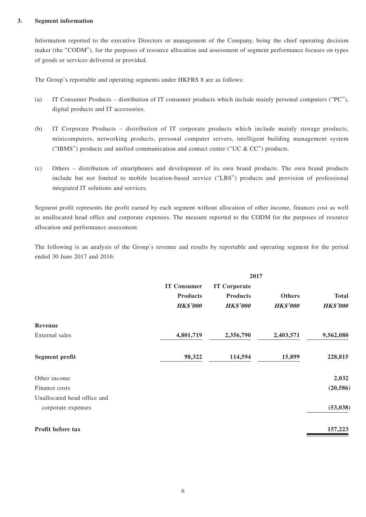#### **3. Segment information**

Information reported to the executive Directors or management of the Company, being the chief operating decision maker (the "CODM"), for the purposes of resource allocation and assessment of segment performance focuses on types of goods or services delivered or provided.

The Group's reportable and operating segments under HKFRS 8 are as follows:

- (a) IT Consumer Products distribution of IT consumer products which include mainly personal computers ("PC"), digital products and IT accessories.
- (b) IT Corporate Products distribution of IT corporate products which include mainly storage products, minicomputers, networking products, personal computer servers, intelligent building management system ("IBMS") products and unified communication and contact centre ("UC  $&$  CC") products.
- (c) Others distribution of smartphones and development of its own brand products. The own brand products include but not limited to mobile location-based service ("LBS") products and provision of professional integrated IT solutions and services.

Segment profit represents the profit earned by each segment without allocation of other income, finances cost as well as unallocated head office and corporate expenses. The measure reported to the CODM for the purposes of resource allocation and performance assessment.

The following is an analysis of the Group's revenue and results by reportable and operating segment for the period ended 30 June 2017 and 2016:

|                             | 2017               |                     |                 |                 |
|-----------------------------|--------------------|---------------------|-----------------|-----------------|
|                             | <b>IT Consumer</b> | <b>IT Corporate</b> |                 |                 |
|                             | <b>Products</b>    | <b>Products</b>     | <b>Others</b>   | <b>Total</b>    |
|                             | <b>HK\$'000</b>    | <b>HK\$'000</b>     | <b>HK\$'000</b> | <b>HK\$'000</b> |
| Revenue                     |                    |                     |                 |                 |
| External sales              | 4,801,719          | 2,356,790           | 2,403,571       | 9,562,080       |
| <b>Segment profit</b>       | 98,322             | 114,594             | 15,899          | 228,815         |
| Other income                |                    |                     |                 | 2,032           |
| Finance costs               |                    |                     |                 | (20, 586)       |
| Unallocated head office and |                    |                     |                 |                 |
| corporate expenses          |                    |                     |                 | (53, 038)       |
| Profit before tax           |                    |                     |                 | 157,223         |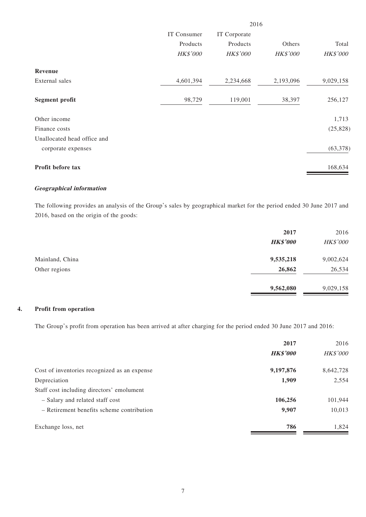|                             | 2016        |                 |                 |                 |
|-----------------------------|-------------|-----------------|-----------------|-----------------|
|                             | IT Consumer | IT Corporate    |                 |                 |
|                             | Products    | Products        | Others          | Total           |
|                             | HK\$'000    | <b>HK\$'000</b> | <b>HK\$'000</b> | <b>HK\$'000</b> |
| Revenue                     |             |                 |                 |                 |
| External sales              | 4,601,394   | 2,234,668       | 2,193,096       | 9,029,158       |
| <b>Segment profit</b>       | 98,729      | 119,001         | 38,397          | 256,127         |
| Other income                |             |                 |                 | 1,713           |
| Finance costs               |             |                 |                 | (25, 828)       |
| Unallocated head office and |             |                 |                 |                 |
| corporate expenses          |             |                 |                 | (63, 378)       |
| Profit before tax           |             |                 |                 | 168,634         |

#### **Geographical information**

The following provides an analysis of the Group's sales by geographical market for the period ended 30 June 2017 and 2016, based on the origin of the goods:

|                 | 2017            | 2016      |
|-----------------|-----------------|-----------|
|                 | <b>HK\$'000</b> | HK\$'000  |
| Mainland, China | 9,535,218       | 9,002,624 |
| Other regions   | 26,862          | 26,534    |
|                 | 9,562,080       | 9,029,158 |

#### **4. Profit from operation**

The Group's profit from operation has been arrived at after charging for the period ended 30 June 2017 and 2016:

|                                              | 2017            | 2016            |
|----------------------------------------------|-----------------|-----------------|
|                                              | <b>HK\$'000</b> | <b>HK\$'000</b> |
| Cost of inventories recognized as an expense | 9,197,876       | 8,642,728       |
| Depreciation                                 | 1,909           | 2,554           |
| Staff cost including directors' emolument    |                 |                 |
| - Salary and related staff cost              | 106,256         | 101,944         |
| - Retirement benefits scheme contribution    | 9,907           | 10,013          |
| Exchange loss, net                           | 786             | 1,824           |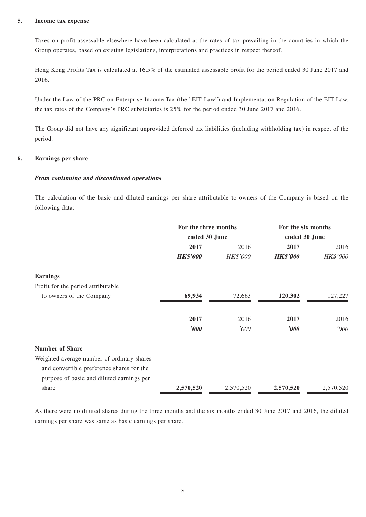#### **5. Income tax expense**

Taxes on profit assessable elsewhere have been calculated at the rates of tax prevailing in the countries in which the Group operates, based on existing legislations, interpretations and practices in respect thereof.

Hong Kong Profits Tax is calculated at 16.5% of the estimated assessable profit for the period ended 30 June 2017 and 2016.

Under the Law of the PRC on Enterprise Income Tax (the "EIT Law") and Implementation Regulation of the EIT Law, the tax rates of the Company's PRC subsidiaries is 25% for the period ended 30 June 2017 and 2016.

The Group did not have any significant unprovided deferred tax liabilities (including withholding tax) in respect of the period.

#### **6. Earnings per share**

#### **From continuing and discontinued operations**

The calculation of the basic and diluted earnings per share attributable to owners of the Company is based on the following data:

|                                            | For the three months<br>ended 30 June |                 | For the six months<br>ended 30 June |           |
|--------------------------------------------|---------------------------------------|-----------------|-------------------------------------|-----------|
|                                            |                                       |                 |                                     |           |
|                                            | 2017                                  | 2016            | 2017                                | 2016      |
|                                            | <b>HK\$'000</b>                       | <b>HK\$'000</b> | <b>HK\$'000</b>                     | HK\$'000  |
| <b>Earnings</b>                            |                                       |                 |                                     |           |
| Profit for the period attributable         |                                       |                 |                                     |           |
| to owners of the Company                   | 69,934                                | 72,663          | 120,302                             | 127,227   |
|                                            | 2017                                  | 2016            | 2017                                | 2016      |
|                                            | '000                                  | '000            | $\boldsymbol{\delta}$               | '000      |
| <b>Number of Share</b>                     |                                       |                 |                                     |           |
| Weighted average number of ordinary shares |                                       |                 |                                     |           |
| and convertible preference shares for the  |                                       |                 |                                     |           |
| purpose of basic and diluted earnings per  |                                       |                 |                                     |           |
| share                                      | 2,570,520                             | 2,570,520       | 2,570,520                           | 2,570,520 |

As there were no diluted shares during the three months and the six months ended 30 June 2017 and 2016, the diluted earnings per share was same as basic earnings per share.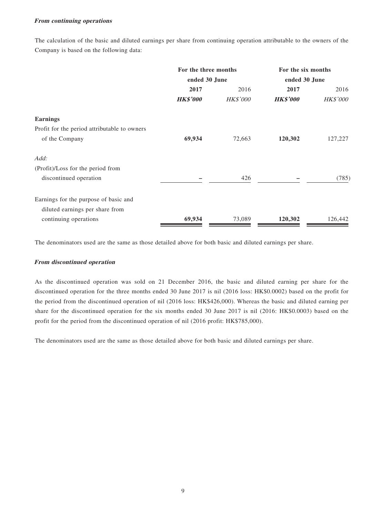#### **From continuing operations**

The calculation of the basic and diluted earnings per share from continuing operation attributable to the owners of the Company is based on the following data:

|                                              | For the three months<br>ended 30 June |                 | For the six months<br>ended 30 June |                 |
|----------------------------------------------|---------------------------------------|-----------------|-------------------------------------|-----------------|
|                                              |                                       |                 |                                     |                 |
|                                              | 2017                                  | 2016            | 2017                                | 2016            |
|                                              | <b>HK\$'000</b>                       | <b>HK\$'000</b> | <b>HK\$'000</b>                     | <b>HK\$'000</b> |
| <b>Earnings</b>                              |                                       |                 |                                     |                 |
| Profit for the period attributable to owners |                                       |                 |                                     |                 |
| of the Company                               | 69,934                                | 72,663          | 120,302                             | 127,227         |
| Add:                                         |                                       |                 |                                     |                 |
| (Profit)/Loss for the period from            |                                       |                 |                                     |                 |
| discontinued operation                       |                                       | 426             |                                     | (785)           |
| Earnings for the purpose of basic and        |                                       |                 |                                     |                 |
| diluted earnings per share from              |                                       |                 |                                     |                 |
| continuing operations                        | 69,934                                | 73,089          | 120,302                             | 126,442         |

The denominators used are the same as those detailed above for both basic and diluted earnings per share.

#### **From discontinued operation**

As the discontinued operation was sold on 21 December 2016, the basic and diluted earning per share for the discontinued operation for the three months ended 30 June 2017 is nil (2016 loss: HK\$0.0002) based on the profit for the period from the discontinued operation of nil (2016 loss: HK\$426,000). Whereas the basic and diluted earning per share for the discontinued operation for the six months ended 30 June 2017 is nil (2016: HK\$0.0003) based on the profit for the period from the discontinued operation of nil (2016 profit: HK\$785,000).

The denominators used are the same as those detailed above for both basic and diluted earnings per share.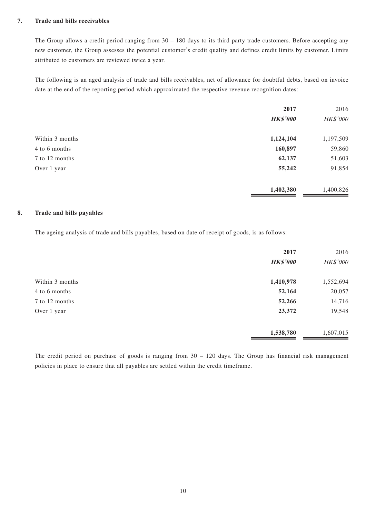#### **7. Trade and bills receivables**

The Group allows a credit period ranging from 30 – 180 days to its third party trade customers. Before accepting any new customer, the Group assesses the potential customer's credit quality and defines credit limits by customer. Limits attributed to customers are reviewed twice a year.

The following is an aged analysis of trade and bills receivables, net of allowance for doubtful debts, based on invoice date at the end of the reporting period which approximated the respective revenue recognition dates:

|                 | 2017            | 2016      |
|-----------------|-----------------|-----------|
|                 | <b>HK\$'000</b> | HK\$'000  |
| Within 3 months | 1,124,104       | 1,197,509 |
| 4 to 6 months   | 160,897         | 59,860    |
| 7 to 12 months  | 62,137          | 51,603    |
| Over 1 year     | 55,242          | 91,854    |
|                 | 1,402,380       | 1,400,826 |

#### **8. Trade and bills payables**

The ageing analysis of trade and bills payables, based on date of receipt of goods, is as follows:

|                 | 2017            | 2016      |
|-----------------|-----------------|-----------|
|                 | <b>HK\$'000</b> | HK\$'000  |
| Within 3 months | 1,410,978       | 1,552,694 |
| 4 to 6 months   | 52,164          | 20,057    |
| 7 to 12 months  | 52,266          | 14,716    |
| Over 1 year     | 23,372          | 19,548    |
|                 | 1,538,780       | 1,607,015 |

The credit period on purchase of goods is ranging from 30 – 120 days. The Group has financial risk management policies in place to ensure that all payables are settled within the credit timeframe.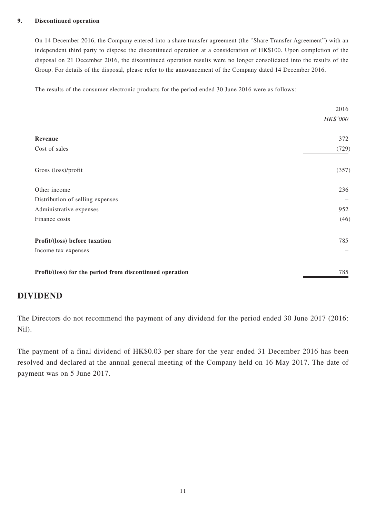#### **9. Discontinued operation**

On 14 December 2016, the Company entered into a share transfer agreement (the "Share Transfer Agreement") with an independent third party to dispose the discontinued operation at a consideration of HK\$100. Upon completion of the disposal on 21 December 2016, the discontinued operation results were no longer consolidated into the results of the Group. For details of the disposal, please refer to the announcement of the Company dated 14 December 2016.

The results of the consumer electronic products for the period ended 30 June 2016 were as follows:

|                                                          | 2016            |
|----------------------------------------------------------|-----------------|
|                                                          | <b>HK\$'000</b> |
| Revenue                                                  | 372             |
| Cost of sales                                            | (729)           |
| Gross (loss)/profit                                      | (357)           |
| Other income                                             | 236             |
| Distribution of selling expenses                         | -               |
| Administrative expenses                                  | 952             |
| Finance costs                                            | (46)            |
| Profit/(loss) before taxation                            | 785             |
| Income tax expenses                                      |                 |
| Profit/(loss) for the period from discontinued operation | 785             |

### **DIVIDEND**

The Directors do not recommend the payment of any dividend for the period ended 30 June 2017 (2016: Nil).

The payment of a final dividend of HK\$0.03 per share for the year ended 31 December 2016 has been resolved and declared at the annual general meeting of the Company held on 16 May 2017. The date of payment was on 5 June 2017.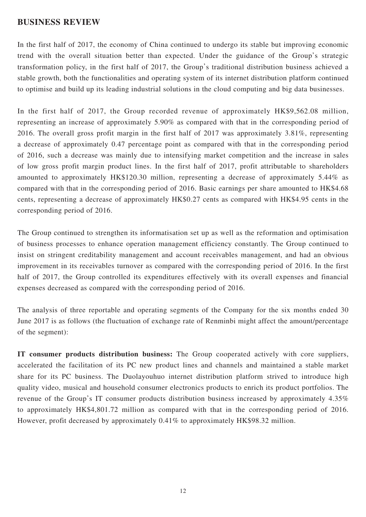### **BUSINESS REVIEW**

In the first half of 2017, the economy of China continued to undergo its stable but improving economic trend with the overall situation better than expected. Under the guidance of the Group's strategic transformation policy, in the first half of 2017, the Group's traditional distribution business achieved a stable growth, both the functionalities and operating system of its internet distribution platform continued to optimise and build up its leading industrial solutions in the cloud computing and big data businesses.

In the first half of 2017, the Group recorded revenue of approximately HK\$9,562.08 million, representing an increase of approximately 5.90% as compared with that in the corresponding period of 2016. The overall gross profit margin in the first half of 2017 was approximately 3.81%, representing a decrease of approximately 0.47 percentage point as compared with that in the corresponding period of 2016, such a decrease was mainly due to intensifying market competition and the increase in sales of low gross profit margin product lines. In the first half of 2017, profit attributable to shareholders amounted to approximately HK\$120.30 million, representing a decrease of approximately 5.44% as compared with that in the corresponding period of 2016. Basic earnings per share amounted to HK\$4.68 cents, representing a decrease of approximately HK\$0.27 cents as compared with HK\$4.95 cents in the corresponding period of 2016.

The Group continued to strengthen its informatisation set up as well as the reformation and optimisation of business processes to enhance operation management efficiency constantly. The Group continued to insist on stringent creditability management and account receivables management, and had an obvious improvement in its receivables turnover as compared with the corresponding period of 2016. In the first half of 2017, the Group controlled its expenditures effectively with its overall expenses and financial expenses decreased as compared with the corresponding period of 2016.

The analysis of three reportable and operating segments of the Company for the six months ended 30 June 2017 is as follows (the fluctuation of exchange rate of Renminbi might affect the amount/percentage of the segment):

**IT consumer products distribution business:** The Group cooperated actively with core suppliers, accelerated the facilitation of its PC new product lines and channels and maintained a stable market share for its PC business. The Duolayouhuo internet distribution platform strived to introduce high quality video, musical and household consumer electronics products to enrich its product portfolios. The revenue of the Group's IT consumer products distribution business increased by approximately 4.35% to approximately HK\$4,801.72 million as compared with that in the corresponding period of 2016. However, profit decreased by approximately 0.41% to approximately HK\$98.32 million.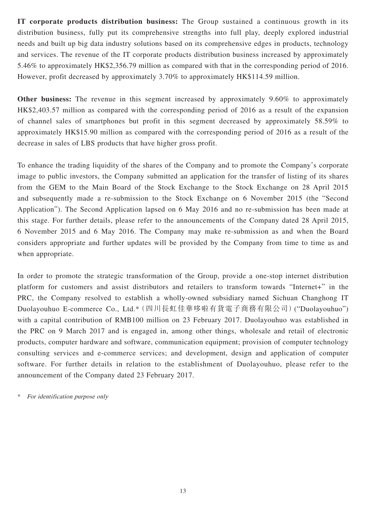**IT corporate products distribution business:** The Group sustained a continuous growth in its distribution business, fully put its comprehensive strengths into full play, deeply explored industrial needs and built up big data industry solutions based on its comprehensive edges in products, technology and services. The revenue of the IT corporate products distribution business increased by approximately 5.46% to approximately HK\$2,356.79 million as compared with that in the corresponding period of 2016. However, profit decreased by approximately 3.70% to approximately HK\$114.59 million.

**Other business:** The revenue in this segment increased by approximately 9.60% to approximately HK\$2,403.57 million as compared with the corresponding period of 2016 as a result of the expansion of channel sales of smartphones but profit in this segment decreased by approximately 58.59% to approximately HK\$15.90 million as compared with the corresponding period of 2016 as a result of the decrease in sales of LBS products that have higher gross profit.

To enhance the trading liquidity of the shares of the Company and to promote the Company's corporate image to public investors, the Company submitted an application for the transfer of listing of its shares from the GEM to the Main Board of the Stock Exchange to the Stock Exchange on 28 April 2015 and subsequently made a re-submission to the Stock Exchange on 6 November 2015 (the "Second Application"). The Second Application lapsed on 6 May 2016 and no re-submission has been made at this stage. For further details, please refer to the announcements of the Company dated 28 April 2015, 6 November 2015 and 6 May 2016. The Company may make re-submission as and when the Board considers appropriate and further updates will be provided by the Company from time to time as and when appropriate.

In order to promote the strategic transformation of the Group, provide a one-stop internet distribution platform for customers and assist distributors and retailers to transform towards "Internet+" in the PRC, the Company resolved to establish a wholly-owned subsidiary named Sichuan Changhong IT Duolayouhuo E-commerce Co., Ltd.\*(四川長虹佳華哆啦有貨電子商務有限公司)("Duolayouhuo") with a capital contribution of RMB100 million on 23 February 2017. Duolayouhuo was established in the PRC on 9 March 2017 and is engaged in, among other things, wholesale and retail of electronic products, computer hardware and software, communication equipment; provision of computer technology consulting services and e-commerce services; and development, design and application of computer software. For further details in relation to the establishment of Duolayouhuo, please refer to the announcement of the Company dated 23 February 2017.

For identification purpose only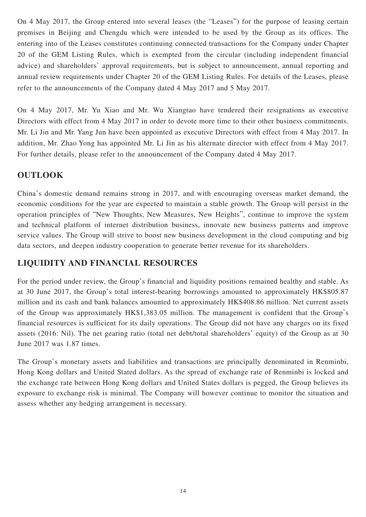On 4 May 2017, the Group entered into several leases (the "Leases") for the purpose of leasing certain premises in Beijing and Chengdu which were intended to be used by the Group as its offices. The entering into of the Leases constitutes continuing connected transactions for the Company under Chapter 20 of the GEM Listing Rules, which is exempted from the circular (including independent financial advice) and shareholders' approval requirements, but is subject to announcement, annual reporting and annual review requirements under Chapter 20 of the GEM Listing Rules. For details of the Leases, please refer to the announcements of the Company dated 4 May 2017 and 5 May 2017.

On 4 May 2017, Mr. Yu Xiao and Mr. Wu Xiangtao have tendered their resignations as executive Directors with effect from 4 May 2017 in order to devote more time to their other business commitments. Mr. Li Jin and Mr. Yang Jun have been appointed as executive Directors with effect from 4 May 2017. In addition, Mr. Zhao Yong has appointed Mr. Li Jin as his alternate director with effect from 4 May 2017. For further details, please refer to the announcement of the Company dated 4 May 2017.

## **OUTLOOK**

China's domestic demand remains strong in 2017, and with encouraging overseas market demand, the economic conditions for the year are expected to maintain a stable growth. The Group will persist in the operation principles of "New Thoughts, New Measures, New Heights", continue to improve the system and technical platform of internet distribution business, innovate new business patterns and improve service values. The Group will strive to boost new business development in the cloud computing and big data sectors, and deepen industry cooperation to generate better revenue for its shareholders.

## **LIQUIDITY AND FINANCIAL RESOURCES**

For the period under review, the Group's financial and liquidity positions remained healthy and stable. As at 30 June 2017, the Group's total interest-bearing borrowings amounted to approximately HK\$805.87 million and its cash and bank balances amounted to approximately HK\$408.86 million. Net current assets of the Group was approximately HK\$1,383.05 million. The management is confident that the Group's financial resources is sufficient for its daily operations. The Group did not have any charges on its fixed assets (2016: Nil). The net gearing ratio (total net debt/total shareholders' equity) of the Group as at 30 June 2017 was 1.87 times.

The Group's monetary assets and liabilities and transactions are principally denominated in Renminbi, Hong Kong dollars and United Stated dollars. As the spread of exchange rate of Renminbi is locked and the exchange rate between Hong Kong dollars and United States dollars is pegged, the Group believes its exposure to exchange risk is minimal. The Company will however continue to monitor the situation and assess whether any hedging arrangement is necessary.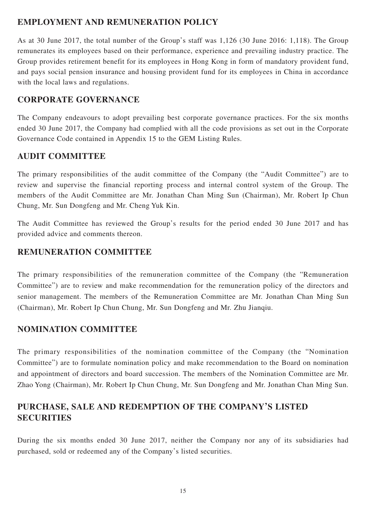### **EMPLOYMENT AND REMUNERATION POLICY**

As at 30 June 2017, the total number of the Group's staff was 1,126 (30 June 2016: 1,118). The Group remunerates its employees based on their performance, experience and prevailing industry practice. The Group provides retirement benefit for its employees in Hong Kong in form of mandatory provident fund, and pays social pension insurance and housing provident fund for its employees in China in accordance with the local laws and regulations.

### **CORPORATE GOVERNANCE**

The Company endeavours to adopt prevailing best corporate governance practices. For the six months ended 30 June 2017, the Company had complied with all the code provisions as set out in the Corporate Governance Code contained in Appendix 15 to the GEM Listing Rules.

### **AUDIT COMMITTEE**

The primary responsibilities of the audit committee of the Company (the "Audit Committee") are to review and supervise the financial reporting process and internal control system of the Group. The members of the Audit Committee are Mr. Jonathan Chan Ming Sun (Chairman), Mr. Robert Ip Chun Chung, Mr. Sun Dongfeng and Mr. Cheng Yuk Kin.

The Audit Committee has reviewed the Group's results for the period ended 30 June 2017 and has provided advice and comments thereon.

### **REMUNERATION COMMITTEE**

The primary responsibilities of the remuneration committee of the Company (the "Remuneration Committee") are to review and make recommendation for the remuneration policy of the directors and senior management. The members of the Remuneration Committee are Mr. Jonathan Chan Ming Sun (Chairman), Mr. Robert Ip Chun Chung, Mr. Sun Dongfeng and Mr. Zhu Jianqiu.

## **NOMINATION COMMITTEE**

The primary responsibilities of the nomination committee of the Company (the "Nomination Committee") are to formulate nomination policy and make recommendation to the Board on nomination and appointment of directors and board succession. The members of the Nomination Committee are Mr. Zhao Yong (Chairman), Mr. Robert Ip Chun Chung, Mr. Sun Dongfeng and Mr. Jonathan Chan Ming Sun.

## **PURCHASE, SALE AND REDEMPTION OF THE COMPANY'S LISTED SECURITIES**

During the six months ended 30 June 2017, neither the Company nor any of its subsidiaries had purchased, sold or redeemed any of the Company's listed securities.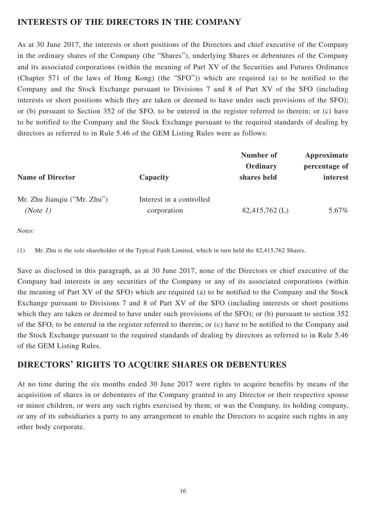## **INTERESTS OF THE DIRECTORS IN THE COMPANY**

As at 30 June 2017, the interests or short positions of the Directors and chief executive of the Company in the ordinary shares of the Company (the "Shares"), underlying Shares or debentures of the Company and its associated corporations (within the meaning of Part XV of the Securities and Futures Ordinance (Chapter 571 of the laws of Hong Kong) (the "SFO")) which are required (a) to be notified to the Company and the Stock Exchange pursuant to Divisions 7 and 8 of Part XV of the SFO (including interests or short positions which they are taken or deemed to have under such provisions of the SFO); or (b) pursuant to Section 352 of the SFO, to be entered in the register referred to therein; or (c) have to be notified to the Company and the Stock Exchange pursuant to the required standards of dealing by directors as referred to in Rule 5.46 of the GEM Listing Rules were as follows:

|                                         | Number of               | Approximate<br>percentage of<br>interest |  |
|-----------------------------------------|-------------------------|------------------------------------------|--|
| Capacity                                | Ordinary<br>shares held |                                          |  |
| Interest in a controlled<br>corporation | $82,415,762$ (L)        | 5.67%                                    |  |
|                                         |                         |                                          |  |

Notes:

(1) Mr. Zhu is the sole shareholder of the Typical Faith Limited, which in turn held the 82,415,762 Shares.

Save as disclosed in this paragraph, as at 30 June 2017, none of the Directors or chief executive of the Company had interests in any securities of the Company or any of its associated corporations (within the meaning of Part XV of the SFO) which are required (a) to be notified to the Company and the Stock Exchange pursuant to Divisions 7 and 8 of Part XV of the SFO (including interests or short positions which they are taken or deemed to have under such provisions of the SFO); or (b) pursuant to section 352 of the SFO, to be entered in the register referred to therein; or (c) have to be notified to the Company and the Stock Exchange pursuant to the required standards of dealing by directors as referred to in Rule 5.46 of the GEM Listing Rules.

### **DIRECTORS' RIGHTS TO ACQUIRE SHARES OR DEBENTURES**

At no time during the six months ended 30 June 2017 were rights to acquire benefits by means of the acquisition of shares in or debentures of the Company granted to any Director or their respective spouse or minor children, or were any such rights exercised by them; or was the Company, its holding company, or any of its subsidiaries a party to any arrangement to enable the Directors to acquire such rights in any other body corporate.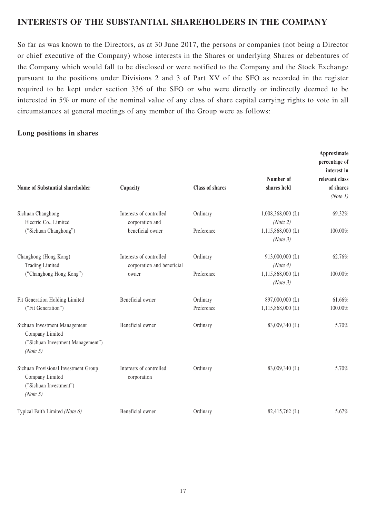### **INTERESTS OF THE SUBSTANTIAL SHAREHOLDERS IN THE COMPANY**

So far as was known to the Directors, as at 30 June 2017, the persons or companies (not being a Director or chief executive of the Company) whose interests in the Shares or underlying Shares or debentures of the Company which would fall to be disclosed or were notified to the Company and the Stock Exchange pursuant to the positions under Divisions 2 and 3 of Part XV of the SFO as recorded in the register required to be kept under section 336 of the SFO or who were directly or indirectly deemed to be interested in 5% or more of the nominal value of any class of share capital carrying rights to vote in all circumstances at general meetings of any member of the Group were as follows:

### **Long positions in shares**

| Name of Substantial shareholder                                                                                                              | Capacity                               | <b>Class of shares</b> | Number of<br>shares held                    | Approximate<br>percentage of<br>interest in<br>relevant class<br>of shares<br>(Note 1) |
|----------------------------------------------------------------------------------------------------------------------------------------------|----------------------------------------|------------------------|---------------------------------------------|----------------------------------------------------------------------------------------|
| Sichuan Changhong<br>Electric Co., Limited                                                                                                   | Interests of controlled                | Ordinary               | $1,008,368,000$ (L)                         | 69.32%                                                                                 |
| ("Sichuan Changhong")                                                                                                                        | corporation and<br>beneficial owner    | Preference             | (Note 2)<br>$1,115,868,000$ (L)<br>(Note 3) | 100.00%                                                                                |
| Changhong (Hong Kong)<br>Interests of controlled<br><b>Trading Limited</b><br>corporation and beneficial<br>("Changhong Hong Kong")<br>owner |                                        | Ordinary               | 913,000,000 (L)<br>(Note 4)                 | 62.76%                                                                                 |
|                                                                                                                                              |                                        | Preference             | $1,115,868,000$ (L)<br>(Note 3)             | 100.00%                                                                                |
| Fit Generation Holding Limited<br>("Fit Generation")                                                                                         | Beneficial owner                       | Ordinary<br>Preference | 897,000,000 (L)<br>$1,115,868,000$ (L)      | 61.66%<br>100.00%                                                                      |
| Sichuan Investment Management<br>Company Limited<br>("Sichuan Investment Management")<br>(Note 5)                                            | Beneficial owner                       | Ordinary               | 83,009,340 (L)                              | 5.70%                                                                                  |
| Sichuan Provisional Investment Group<br>Company Limited<br>("Sichuan Investment")<br>(Note 5)                                                | Interests of controlled<br>corporation | Ordinary               | 83,009,340 (L)                              | 5.70%                                                                                  |
| Typical Faith Limited (Note 6)                                                                                                               | Beneficial owner                       | Ordinary               | 82,415,762 (L)                              | 5.67%                                                                                  |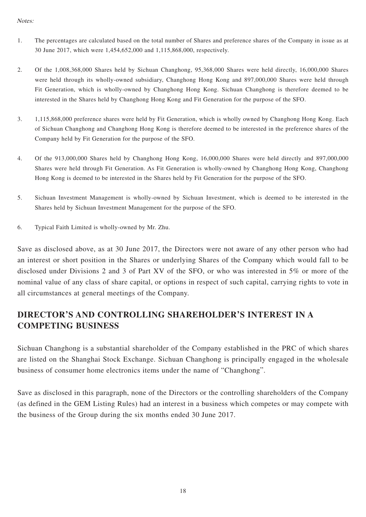#### Notes:

- 1. The percentages are calculated based on the total number of Shares and preference shares of the Company in issue as at 30 June 2017, which were 1,454,652,000 and 1,115,868,000, respectively.
- 2. Of the 1,008,368,000 Shares held by Sichuan Changhong, 95,368,000 Shares were held directly, 16,000,000 Shares were held through its wholly-owned subsidiary, Changhong Hong Kong and 897,000,000 Shares were held through Fit Generation, which is wholly-owned by Changhong Hong Kong. Sichuan Changhong is therefore deemed to be interested in the Shares held by Changhong Hong Kong and Fit Generation for the purpose of the SFO.
- 3. 1,115,868,000 preference shares were held by Fit Generation, which is wholly owned by Changhong Hong Kong. Each of Sichuan Changhong and Changhong Hong Kong is therefore deemed to be interested in the preference shares of the Company held by Fit Generation for the purpose of the SFO.
- 4. Of the 913,000,000 Shares held by Changhong Hong Kong, 16,000,000 Shares were held directly and 897,000,000 Shares were held through Fit Generation. As Fit Generation is wholly-owned by Changhong Hong Kong, Changhong Hong Kong is deemed to be interested in the Shares held by Fit Generation for the purpose of the SFO.
- 5. Sichuan Investment Management is wholly-owned by Sichuan Investment, which is deemed to be interested in the Shares held by Sichuan Investment Management for the purpose of the SFO.
- 6. Typical Faith Limited is wholly-owned by Mr. Zhu.

Save as disclosed above, as at 30 June 2017, the Directors were not aware of any other person who had an interest or short position in the Shares or underlying Shares of the Company which would fall to be disclosed under Divisions 2 and 3 of Part XV of the SFO, or who was interested in 5% or more of the nominal value of any class of share capital, or options in respect of such capital, carrying rights to vote in all circumstances at general meetings of the Company.

## **DIRECTOR'S AND CONTROLLING SHAREHOLDER'S INTEREST IN A COMPETING BUSINESS**

Sichuan Changhong is a substantial shareholder of the Company established in the PRC of which shares are listed on the Shanghai Stock Exchange. Sichuan Changhong is principally engaged in the wholesale business of consumer home electronics items under the name of "Changhong".

Save as disclosed in this paragraph, none of the Directors or the controlling shareholders of the Company (as defined in the GEM Listing Rules) had an interest in a business which competes or may compete with the business of the Group during the six months ended 30 June 2017.